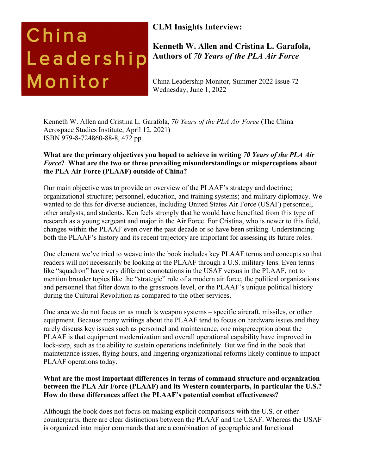# China Leadership Monitor

# **CLM Insights Interview:**

**Kenneth W. Allen and Cristina L. Garafola, Authors of** *70 Years of the PLA Air Force*

China Leadership Monitor, Summer 2022 Issue 72 Wednesday, June 1, 2022

Kenneth W. Allen and Cristina L. Garafola, *70 Years of the PLA Air Force* (The China Aerospace Studies Institute, April 12, 2021) ISBN 979-8-724860-88-8, 472 pp.

## **What are the primary objectives you hoped to achieve in writing** *70 Years of the PLA Air Force***? What are the two or three prevailing misunderstandings or misperceptions about the PLA Air Force (PLAAF) outside of China?**

Our main objective was to provide an overview of the PLAAF's strategy and doctrine; organizational structure; personnel, education, and training systems; and military diplomacy. We wanted to do this for diverse audiences, including United States Air Force (USAF) personnel, other analysts, and students. Ken feels strongly that he would have benefited from this type of research as a young sergeant and major in the Air Force. For Cristina, who is newer to this field, changes within the PLAAF even over the past decade or so have been striking. Understanding both the PLAAF's history and its recent trajectory are important for assessing its future roles.

One element we've tried to weave into the book includes key PLAAF terms and concepts so that readers will not necessarily be looking at the PLAAF through a U.S. military lens. Even terms like "squadron" have very different connotations in the USAF versus in the PLAAF, not to mention broader topics like the "strategic" role of a modern air force, the political organizations and personnel that filter down to the grassroots level, or the PLAAF's unique political history during the Cultural Revolution as compared to the other services.

One area we do not focus on as much is weapon systems – specific aircraft, missiles, or other equipment. Because many writings about the PLAAF tend to focus on hardware issues and they rarely discuss key issues such as personnel and maintenance, one misperception about the PLAAF is that equipment modernization and overall operational capability have improved in lock-step, such as the ability to sustain operations indefinitely. But we find in the book that maintenance issues, flying hours, and lingering organizational reforms likely continue to impact PLAAF operations today.

## **What are the most important differences in terms of command structure and organization between the PLA Air Force (PLAAF) and its Western counterparts, in particular the U.S.? How do these differences affect the PLAAF's potential combat effectiveness?**

Although the book does not focus on making explicit comparisons with the U.S. or other counterparts, there are clear distinctions between the PLAAF and the USAF. Whereas the USAF is organized into major commands that are a combination of geographic and functional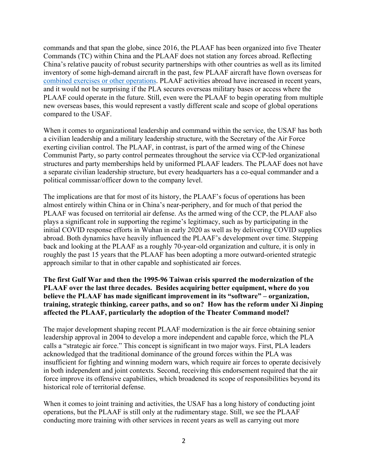commands and that span the globe, since 2016, the PLAAF has been organized into five Theater Commands (TC) within China and the PLAAF does not station any forces abroad. Reflecting China's relative paucity of robust security partnerships with other countries as well as its limited inventory of some high-demand aircraft in the past, few PLAAF aircraft have flown overseas for combined exercises or other operations. PLAAF activities abroad have increased in recent years, and it would not be surprising if the PLA secures overseas military bases or access where the PLAAF could operate in the future. Still, even were the PLAAF to begin operating from multiple new overseas bases, this would represent a vastly different scale and scope of global operations compared to the USAF.

When it comes to organizational leadership and command within the service, the USAF has both a civilian leadership and a military leadership structure, with the Secretary of the Air Force exerting civilian control. The PLAAF, in contrast, is part of the armed wing of the Chinese Communist Party, so party control permeates throughout the service via CCP-led organizational structures and party memberships held by uniformed PLAAF leaders. The PLAAF does not have a separate civilian leadership structure, but every headquarters has a co-equal commander and a political commissar/officer down to the company level.

The implications are that for most of its history, the PLAAF's focus of operations has been almost entirely within China or in China's near-periphery, and for much of that period the PLAAF was focused on territorial air defense. As the armed wing of the CCP, the PLAAF also plays a significant role in supporting the regime's legitimacy, such as by participating in the initial COVID response efforts in Wuhan in early 2020 as well as by delivering COVID supplies abroad. Both dynamics have heavily influenced the PLAAF's development over time. Stepping back and looking at the PLAAF as a roughly 70-year-old organization and culture, it is only in roughly the past 15 years that the PLAAF has been adopting a more outward-oriented strategic approach similar to that in other capable and sophisticated air forces.

**The first Gulf War and then the 1995-96 Taiwan crisis spurred the modernization of the PLAAF over the last three decades. Besides acquiring better equipment, where do you believe the PLAAF has made significant improvement in its "software" – organization, training, strategic thinking, career paths, and so on? How has the reform under Xi Jinping affected the PLAAF, particularly the adoption of the Theater Command model?** 

The major development shaping recent PLAAF modernization is the air force obtaining senior leadership approval in 2004 to develop a more independent and capable force, which the PLA calls a "strategic air force." This concept is significant in two major ways. First, PLA leaders acknowledged that the traditional dominance of the ground forces within the PLA was insufficient for fighting and winning modern wars, which require air forces to operate decisively in both independent and joint contexts. Second, receiving this endorsement required that the air force improve its offensive capabilities, which broadened its scope of responsibilities beyond its historical role of territorial defense.

When it comes to joint training and activities, the USAF has a long history of conducting joint operations, but the PLAAF is still only at the rudimentary stage. Still, we see the PLAAF conducting more training with other services in recent years as well as carrying out more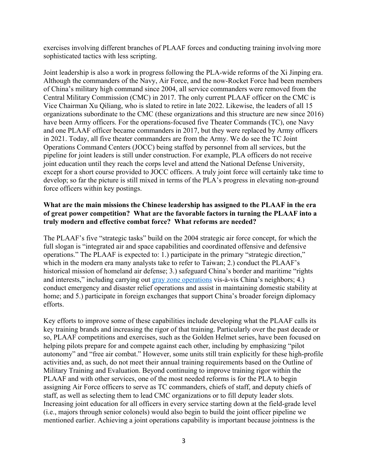exercises involving different branches of PLAAF forces and conducting training involving more sophisticated tactics with less scripting.

Joint leadership is also a work in progress following the PLA-wide reforms of the Xi Jinping era. Although the commanders of the Navy, Air Force, and the now-Rocket Force had been members of China's military high command since 2004, all service commanders were removed from the Central Military Commission (CMC) in 2017. The only current PLAAF officer on the CMC is Vice Chairman Xu Qiliang, who is slated to retire in late 2022. Likewise, the leaders of all 15 organizations subordinate to the CMC (these organizations and this structure are new since 2016) have been Army officers. For the operations-focused five Theater Commands (TC), one Navy and one PLAAF officer became commanders in 2017, but they were replaced by Army officers in 2021. Today, all five theater commanders are from the Army. We do see the TC Joint Operations Command Centers (JOCC) being staffed by personnel from all services, but the pipeline for joint leaders is still under construction. For example, PLA officers do not receive joint education until they reach the corps level and attend the National Defense University, except for a short course provided to JOCC officers. A truly joint force will certainly take time to develop; so far the picture is still mixed in terms of the PLA's progress in elevating non-ground force officers within key postings.

#### **What are the main missions the Chinese leadership has assigned to the PLAAF in the era of great power competition? What are the favorable factors in turning the PLAAF into a truly modern and effective combat force? What reforms are needed?**

The PLAAF's five "strategic tasks" build on the 2004 strategic air force concept, for which the full slogan is "integrated air and space capabilities and coordinated offensive and defensive operations." The PLAAF is expected to: 1.) participate in the primary "strategic direction," which in the modern era many analysts take to refer to Taiwan; 2.) conduct the PLAAF's historical mission of homeland air defense; 3.) safeguard China's border and maritime "rights and interests," including carrying out gray zone operations vis-à-vis China's neighbors; 4.) conduct emergency and disaster relief operations and assist in maintaining domestic stability at home; and 5.) participate in foreign exchanges that support China's broader foreign diplomacy efforts.

Key efforts to improve some of these capabilities include developing what the PLAAF calls its key training brands and increasing the rigor of that training. Particularly over the past decade or so, PLAAF competitions and exercises, such as the Golden Helmet series, have been focused on helping pilots prepare for and compete against each other, including by emphasizing "pilot autonomy" and "free air combat." However, some units still train explicitly for these high-profile activities and, as such, do not meet their annual training requirements based on the Outline of Military Training and Evaluation. Beyond continuing to improve training rigor within the PLAAF and with other services, one of the most needed reforms is for the PLA to begin assigning Air Force officers to serve as TC commanders, chiefs of staff, and deputy chiefs of staff, as well as selecting them to lead CMC organizations or to fill deputy leader slots. Increasing joint education for all officers in every service starting down at the field-grade level (i.e., majors through senior colonels) would also begin to build the joint officer pipeline we mentioned earlier. Achieving a joint operations capability is important because jointness is the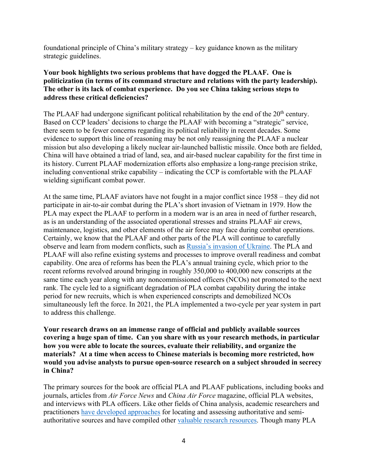foundational principle of China's military strategy – key guidance known as the military strategic guidelines.

#### **Your book highlights two serious problems that have dogged the PLAAF. One is politicization (in terms of its command structure and relations with the party leadership). The other is its lack of combat experience. Do you see China taking serious steps to address these critical deficiencies?**

The PLAAF had undergone significant political rehabilitation by the end of the  $20<sup>th</sup>$  century. Based on CCP leaders' decisions to charge the PLAAF with becoming a "strategic" service, there seem to be fewer concerns regarding its political reliability in recent decades. Some evidence to support this line of reasoning may be not only reassigning the PLAAF a nuclear mission but also developing a likely nuclear air-launched ballistic missile. Once both are fielded, China will have obtained a triad of land, sea, and air-based nuclear capability for the first time in its history. Current PLAAF modernization efforts also emphasize a long-range precision strike, including conventional strike capability – indicating the CCP is comfortable with the PLAAF wielding significant combat power.

At the same time, PLAAF aviators have not fought in a major conflict since 1958 – they did not participate in air-to-air combat during the PLA's short invasion of Vietnam in 1979. How the PLA may expect the PLAAF to perform in a modern war is an area in need of further research, as is an understanding of the associated operational stresses and strains PLAAF air crews, maintenance, logistics, and other elements of the air force may face during combat operations. Certainly, we know that the PLAAF and other parts of the PLA will continue to carefully observe and learn from modern conflicts, such as Russia's invasion of Ukraine. The PLA and PLAAF will also refine existing systems and processes to improve overall readiness and combat capability. One area of reforms has been the PLA's annual training cycle, which prior to the recent reforms revolved around bringing in roughly 350,000 to 400,000 new conscripts at the same time each year along with any noncommissioned officers (NCOs) not promoted to the next rank. The cycle led to a significant degradation of PLA combat capability during the intake period for new recruits, which is when experienced conscripts and demobilized NCOs simultaneously left the force. In 2021, the PLA implemented a two-cycle per year system in part to address this challenge.

**Your research draws on an immense range of official and publicly available sources covering a huge span of time. Can you share with us your research methods, in particular how you were able to locate the sources, evaluate their reliability, and organize the materials? At a time when access to Chinese materials is becoming more restricted, how would you advise analysts to pursue open-source research on a subject shrouded in secrecy in China?**

The primary sources for the book are official PLA and PLAAF publications, including books and journals, articles from *Air Force News* and *China Air Force* magazine, official PLA websites, and interviews with PLA officers. Like other fields of China analysis, academic researchers and practitioners have developed approaches for locating and assessing authoritative and semiauthoritative sources and have compiled other valuable research resources. Though many PLA